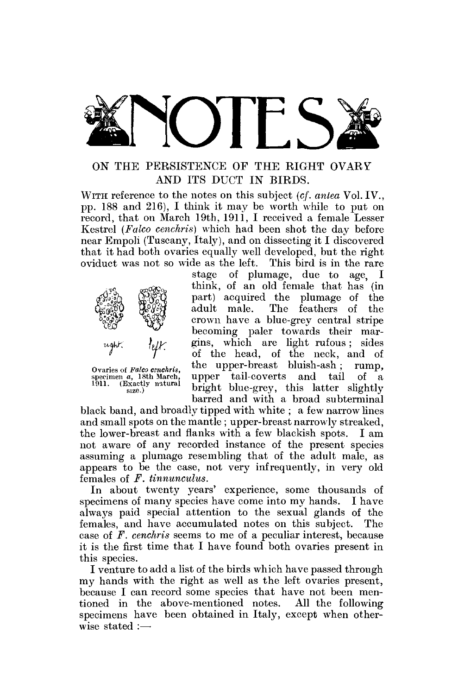

# ON THE PERSISTENCE OF THE RIGHT OVARY AND ITS DUCT IN BIRDS.

WITH reference to the notes on this subject (cf. anlea Vol. IV., pp. 188 and 216), I think it may be worth while to put on record, that on March 19th, 1911, I received a female Lesser Kestrel *(Falco cenchris)* which had been shot the day before near Empoli (Tuscany, Italy), and on dissecting it I discovered that it had both ovaries equally well developed, but the right oviduct was not so wide as the left. This bird is in the rare



Ovaries of Falco cenchris, specimen *a*, 18th March,<br>1911. (Exactly natural cize)

stage of plumage, due to age, I think, of an old female that has (in part) acquired the plumage of the adult male. The feathers of the crown have a blue-grey central stripe becoming paler towards their margins, which are light rufous ; sides of the head, of the neck, and of the upper-breast bluish-ash ; rump, upper tail-coverts and tail of a bright blue-grey, this latter slightly barred and with a broad subterminal

black band, and broadly tipped with white ; a few narrow lines and small spots on the mantle ; upper-breast narrowly streaked, the lower-breast and flanks with a few blackish spots. I am not aware of any recorded instance of the present species assuming a plumage resembling that of the adult male, as appears to be the case, not very infrequently, in very old females of *F. tinnunculus.* 

In about twenty years' experience, some thousands of specimens of many species have come into my hands. I have always paid special attention to the sexual glands of the females, and have accumulated notes on this subject. The case of *F. cenchris* seems to me of a peculiar interest, because it is the first time that I have found both ovaries present in this species.

I venture to add a list of the birds which have passed through my hands with the right as well as the left ovaries present. because I can record some species that have not been mentioned in the above-mentioned notes. All the following specimens have been obtained in Italy, except when otherwise stated :—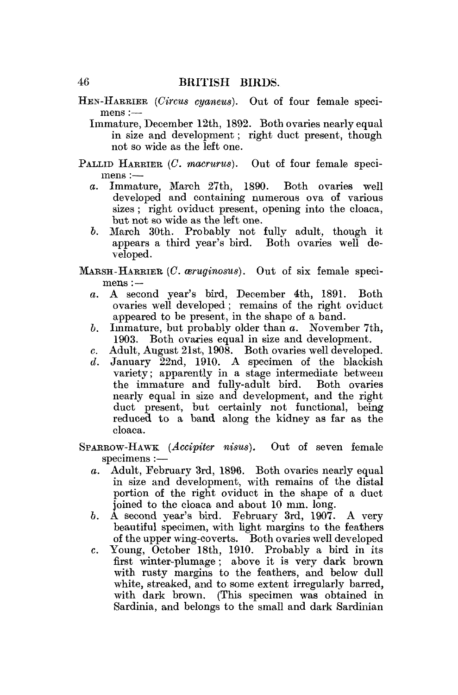- HEN-HARRIER *(Circus cyaneus).* Out of four female specimens :—
	- Immature, December 12th, 1892. Both ovaries nearly equal in size and development; right duct present, though not so wide as the left one.
- PALLID HARRIER (C. macrurus). Out of four female specimens :
	- *a.* Immature, March 27th, 1890. Both ovaries well developed and containing numerous ova of various sizes; right oviduct present, opening into the cloaca, but not so wide as the left one.
	- *b.* March 30th. Probably not fully adult, though it appears a third year's bird. Both ovaries well developed.
- MARSH-HARRIER *(C. ceruginosus).* Out of six female specimens :
	- *a.* A second year's bird, December 4th, 1891. Both ovaries well developed; remains of the right oviduct appeared to be present, in the shape of a band.
	- *b.* Immature, but probably older than *a.* November 7th, 1903. Both ovaries equal in size and development.
	- c. Adult, August 21st, 1908. Both ovaries well developed.
	- $d.$  January  $22nd, 1910.$  A specimen of the blackish variety; apparently in a stage intermediate between the immature and fully-adult bird. Both ovaries nearly equal in size and development, and the right duct present, but certainly not functional, being reduced to a band along the kidney as far as the cloaca.
- SPARROW-HAWK *(Accipiter nisus).* Out of seven female specimens :
	- *a.* Adult, February 3rd, 1896. Both ovaries nearly equal in size and development, with remains of the distal portion of the right oviduct in the shape of a duct joined to the cloaca and about 10 mm. long.
	- *b.* A second year's bird. February 3rd, 1907. A very beautiful specimen, with light margins to the feathers of the upper wing-coverts. Both ovaries well developed
	- c. Young, October 18th, 1910. Probably a bird in its first winter-plumage; above it is very dark brown with rusty margins to the feathers, and below dull white, streaked, and to some extent irregularly barred, with dark brown. (This specimen was obtained in Sardinia, and belongs to the small and dark Sardinian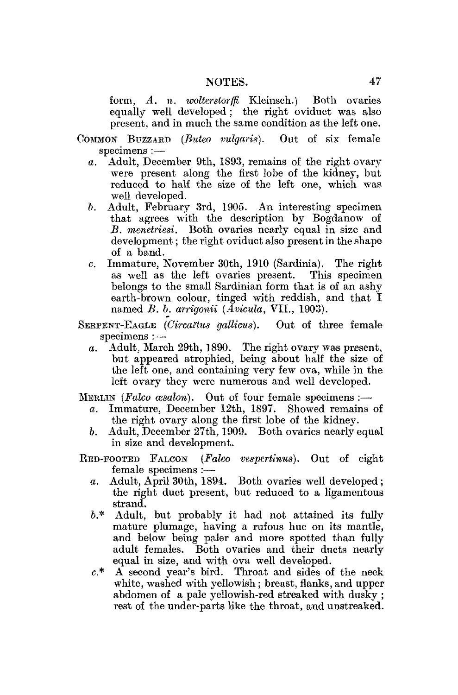form, *A. n. wolterstorffi* Kleinsch.) Both ovaries equally well developed; the right oviduct was also present, and in much the same condition as the left one.

COMMON BUZZABD *(Buteo vulgaris).* Out of six female specimens :—

- *a.* Adult, December 9th, 1893, remains of the right ovary were present along the first lobe of the kidney, but reduced to half the size of the left one, which was well developed.
- 5. Adult, February 3rd, 1905. An interesting specimen that agrees with the description by Bogdanow of *B. menetriesi.* Both ovaries nearly equal in size and development; the right oviduct also present in the shape of a band.
- c. Immature, November 30th, 1910 (Sardinia). The right as well as the left ovaries present. belongs to the small Sardinian form that is of an ashy earth-brown colour, tinged with reddish, and that I named *B. b. arrigonii (Avicula,* VII., 1903).

SERPENT-EAGLE (Circaëtus gallicus). Out of three female specimens :—

*a.* Adult. March 29th, 1890. The right ovary was present, but appeared atrophied, being about half the size of the left one, and containing very few ova, while in the left ovary they were numerous and well developed.

MERLIN (Falco cesalon). Out of four female specimens :-

- *a.* Immature, December 12th, 1897. Showed remains of the right ovary along the first lobe of the kidney.
- *b,* Adult, December 27th, 1909. Both ovaries nearly equal in size and development.
- RED-FOOTED FALCON *{Falco vespertinus).* Out of eight female specimens :
	- *a.* Adult, April 30th, 1894. Both ovaries well developed; the right duct present, but reduced to a ligamentous strand.
	- &.\* Adult, but probably it had not attained its fully mature plumage, having a rufous hue on its mantle, and below being paler and more spotted than fully adult females. Both ovaries and their ducts nearly equal in size, and with ova well developed.
	- c\* A second year's bird. Throat and sides of the neck white, washed with yellowish; breast, flanks, and upper abdomen of a pale yellowish-red streaked with dusky ; rest of the under-parts like the throat, and unstreaked.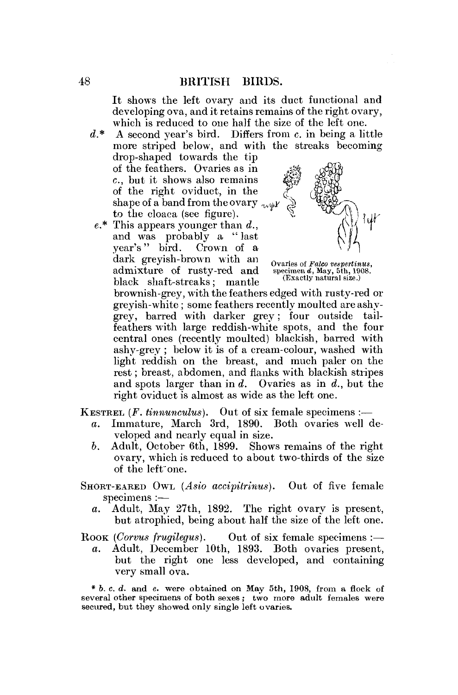It shows the left ovary and its duct functional and developing ova, and it retains remains of the right ovary, which is reduced to one half the size of the left one.

- *d\** A second year's bird. Differs from c. in being a little more striped below, and with the streaks becoming drop-shaped towards the tip of the feathers. Ovaries as in c , but it shows also remains *'^i ffitiM*  of the right oviduct, in the */[<sup>J</sup>* shape of a band from the ovary  $\mathcal{L}_{\text{sub}}$ to the cloaca (see figure).
- $e^*$  This appears younger than  $d$ . and was probably a "last  $\frac{1}{2}$  vear's " bird. Crown of a dark greyish-brown with an ovaries of *Falco vespertinus*, admixture of rusty-red and specimen d, May, 5th, 1908.<br>
block shoft streelys: mantle (Exactly natural size.) admixture of rusty-red and  $black$  shaft-streaks; mantle



brownish-grey, with the feathers edged with rusty-red or greyish-white; some feathers recently moulted are ashygrey, barred with darker grey; four outside tailfeathers with large reddish-white spots, and the four central ones (recently moulted) blackish, barred with ashy-grey ; below it is of a cream-colour, washed with light reddish on the breast, and much paler on the rest; breast, abdomen, and flanks with blackish stripes and spots larger than in *d.* Ovaries as in *d.,* but the right oviduct is almost as wide as the left one.

**KESTREL** (*F. tinnunculus*). Out of six female specimens :—

- *a.* Immature, March 3rd, 1890. Both ovaries well developed and nearly equal in size.
- *b.* Adult, October 6th, 1899. Shows remains of the right ovary, which is reduced to about two-thirds of the size of the left'one.
- SHORT-EARED OWL *(Asio accipitrinus).* Out of five female specimens :
	- *a.* Adult, May 27th, 1892. The right ovary is present, but atrophied, being about half the size of the left one.

Rook (Corvus frugilegus). Out of six female specimens :—

*a.* Adult, December 10th, 1893. Both ovaries present, but the right one less developed, and containing very small ova.

\* 6. c. *d.* and *e.* were obtained on May 5th, 1908, from a flock of several other specimens of both sexes ; two more adult females were secured, but they showed only single left ovaries.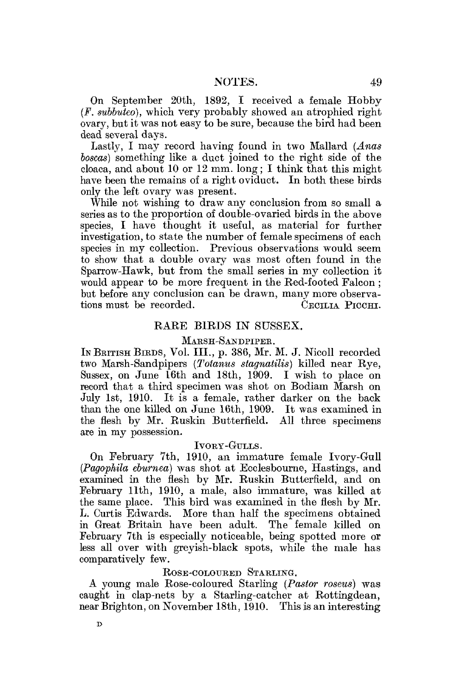On September 20th, 1892, I received a female Hobby *(F. subbuteo),* which, very probably showed an atrophied right ovary, but it was not easy to be sure, because the bird had been dead several days.

Lastly, I may record having found in two Mallard *(Anas boscas)* something like a duct joined to the right side of the cloaca, and about 10 or 12 mm. long; I think that this might have been the remains of a right oviduct. In both these birds only the left ovary was present.

While not wishing to draw any conclusion from so small a series as to the proportion of double-ovaried birds in the above species, I have thought it useful, as material for further investigation, to state the number of female specimens of each species in my collection. Previous observations would seem to show that a double ovary was most often found in the Sparrow-Hawk, but from the small series in my collection it would appear to be more frequent in the Red-footed Falcon ; but before any conclusion can be drawn, many more observations must be recorded. CECILIA PICCHI.

#### RARE BIRDS IN SUSSEX.

#### MARSH-SANDPIPER.

IN BRITISH BIRDS, Vol. III., p. 386, Mr. M. J. Nicoll recorded two Marsh-Sandpipers *(Totanus stagnatilis)* killed near Rye, Sussex, on June 16th and 18th, 1909. I wish to place on record that a third specimen was shot on Bodiam Marsh on July 1st, 1910. It is a female, rather darker on the back than the one killed on June 16th, 1909. It was examined in the flesh by Mr. Ruskin Butterfield. All three specimens are in my possession.

#### IVORY-GULLS.

On February 7th, 1910, an immature female Ivory-Gull *(Pagophila ebumea)* was shot at Ecelesbourne, Hastings, and examined in the flesh by Mr. Ruskin Butterfield, and on February 11th, 1910, a male, also immature, was killed at the same place. This bird was examined in the flesh by Mr. L. Curtis Edwards. More than half the specimens obtained in Great Britain have been adult. The female killed on February 7th is especially noticeable, being spotted more or less all over with greyish-black spots, while the male has comparatively few.

#### ROSE-COLOURED STARLING.

A young male Rose-coloured Starling *(Pastor roseiis)* was caught in clap-nets by a Starling-catcher at Rottmgdean, near Brighton, on November 18th, 1910. This is an interesting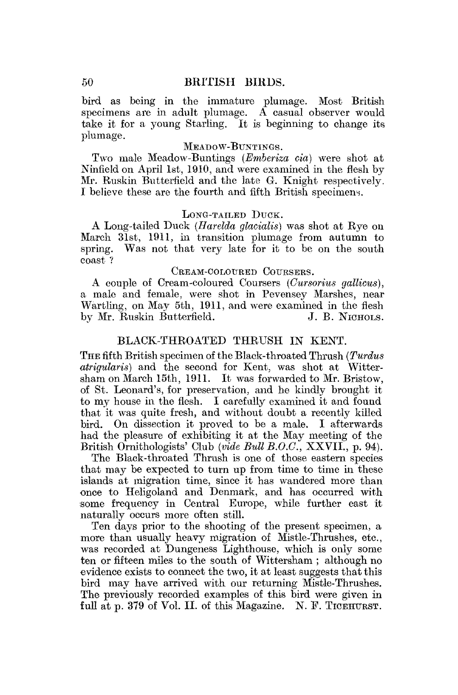bird as being in the immature plumage. Most British specimens are in adult plumage. A casual observer would take it for a young Starling. It is beginning to change its plumage.

### MEADOW-BUNTINGS.

Two male Meadow-Buntings *(Emberiza cia)* were shot at Ninfield on April 1st, 1910, and were examined in the flesh by Mr. Ruskin Butterfield and the late G. Knight respectively. I believe these are the fourth and fifth British specimens.

#### LONG-TAILED DUCK.

A Long-tailed Duck *(Harelda glacialis)* was shot at Rye on March 31st, 1911, in transition plumage from autumn to spring. Was not that very late for it to be on the south coast ?

## CREAM-COLOURED COURSERS.

A couple of Cream-coloured Coursers *(Gursorius gatticus),*  a male and female, were shot in Pevensey Marshes, near Wartling, on May 5th, 1911, and were examined in the flesh<br>by Mr. Ruskin Butterfield. J. B. NICHOLS. by Mr. Ruskin Butterfield.

## BLACK-THROATED THRUSH IN KENT.

THE fifth British specimen of the Black-throated Thrush *(Turdus atrigularis)* and the second for Kent, was shot at Wittersham on March 15th, 1911. It was forwarded to Mr. Bristow, of St. Leonard's, for preservation, and he kindly brought it to my house in the flesh. I carefully examined it and found that it was quite fresh, and without doubt a recently killed bird. On dissection it proved to be a male. I afterwards had the pleasure of exhibiting it at the May meeting of the British Ornithologists' Club *(vide Bull B.O.C.,* XXVII., p. 94).

The Black-throated Thrush is one of those eastern species that may be expected to turn up from time to time in these islands at migration time, since it has wandered more than once to Heligoland and Denmark, and has occurred with some frequency in Central Europe, while further east it naturally occurs more often still.

Ten days prior to the shooting of the present specimen, a more than usually heavy migration of Mistle-Thrushes, etc., was recorded at Dungeness Lighthouse, which is only some ten or fifteen miles to the south of Wittersham ; although no evidence exists to connect the two, it at least suggests that this bird may have arrived with our returning Mistle-Thrushes. The previously recorded examples of this bird were given in full at p. 379 of Vol. II. of this Magazine. N. F. TICEHURST.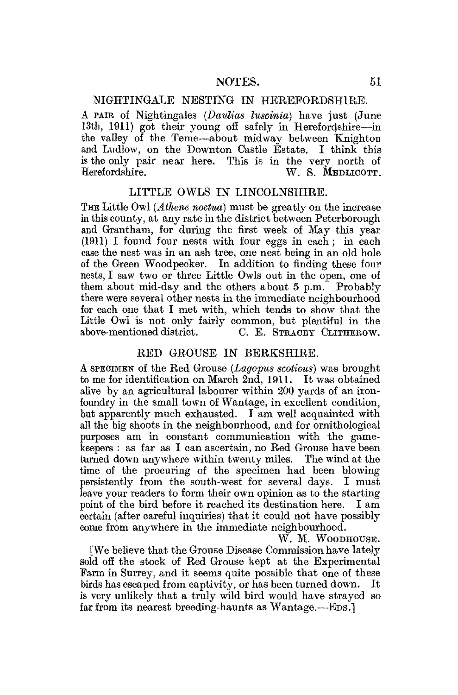## NIGHTINGALE NESTING IN HEREFORDSHIRE.

A PAIE of Nightingales *(Daulias tuseinia)* have just (June 13th, 1911) got their young off safely in Herefordshire—-in the valley of the Teme—-about midway between Knighton and Ludlow, on the Downton Castle Estate. I think this is the only pair near here. This is in the very north of Herefordshire W. S. MEDIJCOTT W. S. MEDLICOTT.

## LITTLE OWLS IN LINCOLNSHIRE.

THE Little Owl *(Athene noctua)* must be greatly on the increase in this county, at any rate in the district between Peterborough and Grantham, for during the first week of May this year (1911) I found four nests with four eggs in each; in each case the nest was in an ash tree, one nest being in an old hole of the Green Woodpecker. In addition to finding these four nests, I saw two or three Little Owls out in the open, one of them about mid-day and the others about 5 p.m. Probably there were several other nests in the immediate neighbourhood for each one that I met with, which tends to show that the Little Owl is not only fairly common, but plentiful in the above-mentioned district. C. E. STRACEY CLITHEROW.

## RED GROUSE IN BERKSHIRE.

A SPECIMEN of the Red Grouse *(Lagopus scoticus)* was brought to me for identification on March 2nd, 1911. It was obtained alive by an agricultural labourer within 200 yards of an ironfoundry in the small town of Wantage, in excellent condition, but apparently much exhausted. I am well acquainted with all the big shoots in the neighbourhood, and for ornithological purposes am in constant communication with the gamekeepers : as far as I can ascertain, no Red Grouse have been turned down anywhere within twenty miles. The wind at the time of the procuring of the specimen had been blowing persistently from the south-west for several days. I must leave your readers to form their own opinion as to the starting point of the bird before it reached its destination here. I am certain (after careful inquiries) that it could not have possibly come from anywhere in the immediate neighbourhood.

W. M. WOODHOUSE.

[We believe that the Grouse Disease Commission have lately sold off the stock of Red Grouse kept at the Experimental Farm in Surrey, and it seems quite possible that one of these birds has escaped from captivity, or has been turned down. It is very unlikely that a truly wild bird would have strayed so far from its nearest breeding-haunts as Wantage.—EDS.]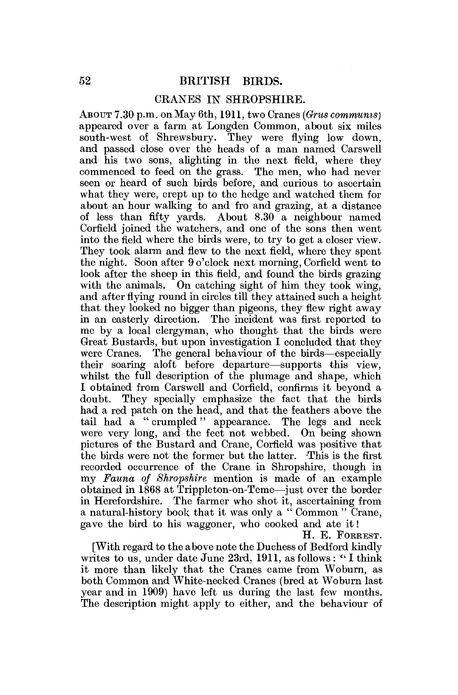#### CRANES IN SHROPSHIRE.

ABOUT 7.30 p.m. on May 6th, **1911,** two Cranes *(Orus communis)*  appeared over a farm at Longden Common, about six miles south-west of Shrewsbury. They were flying low down, and passed close over the heads of a man named Carswell and his two sons, alighting in the next field, where they commenced to feed on the grass. The men, who had never seen or heard of such birds before, and curious to ascertain what they were, crept up to the hedge and watched them for about an hour walking to and fro and grazing, at a distance of less than fifty yards. About 8.30 a neighbour named Corfield joined the watchers, and one of the sons then went into the field where the birds were, to try to get a closer view. They took alarm and flew to the next field, where they spent the night. Soon after 9 o'clock next morning, Corfield went to look after the sheep in this field, and found the birds grazing with the animals. On catching sight of him they took wing, and after flying round in circles till they attained such a height that they looked no bigger than pigeons, they flew right away in an easterly direction. The incident was first reported to me by a local clergyman, who thought that the birds were Great Bustards, but upon investigation I concluded that they were Cranes. The general behaviour of the birds—especially their soaring aloft before departure—supports this view, whilst the full description of the plumage and shape, which I obtained from Carswell and Corfield, confirms it beyond a doubt. They specially emphasize the fact that the birds had a red patch on the head, and that the feathers above the tail had a " crumpled " appearance. The legs and neck were very long, and the feet not webbed. On being shown pictures of the Bustard and Crane, Corfield was positive that the birds were not the former but the latter. This is the first recorded occurrence of the Crane in Shropshire, though in my *Fauna of Shropshire* mention is made of an example obtained in 1868 at Trippleton-on-Teme—just over the border in Herefordshire. The farmer who shot it, ascertaining from a natural-history book that it was only a " Common " Crane, gave the bird to his waggoner, who cooked and ate it!

H. E. FORREST.

[With regard to the above note the Duchess of Bedford kindly writes to us, under date June 23rd, 1911, as follows: "I think it more than likely that the Cranes came from Woburn, as both Common and White-necked Cranes (bred at Woburn last year and in 1909) have left us during the last few months. The description might apply to either, and the behaviour of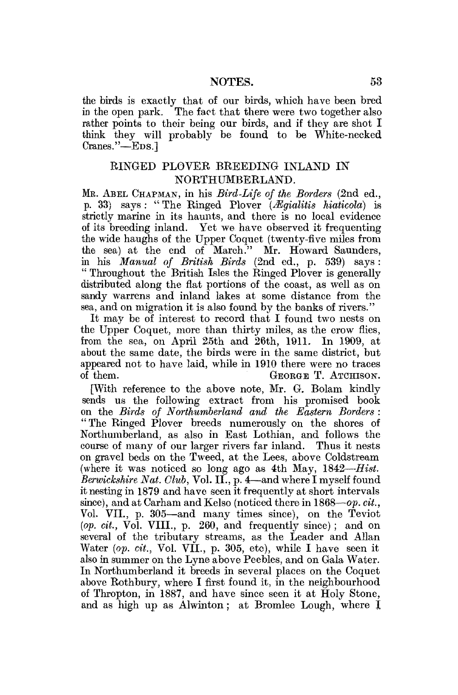the birds is exactly that of our birds, which have been bred<br>in the open park. The fact that there were two together also The fact that there were two together also rather points to their being our birds, and if they are shot I think they will probably be found to be White-necked Cranes."—EDS.]

# RINGED PLOVER BREEDING INLAND IN NORTHUMBERLAND.

ME. ABEL CHAPMAN, in his *Bird-Life of the Borders* (2nd ed., p. 33) says: " The Ringed Plover *{Mgialitis Maticola)* is strictly marine in its haunts, and there is no local evidence of its breeding inland. Yet we have observed it frequenting the wide haughs of the Upper Coquet (twenty-five miles from the sea) at the end of March." Mr. Howard Saunders, in his *Manual of British Birds* (2nd ed., p. 539) says: " Throughout the British Isles the Ringed Plover is generally distributed along the flat portions of the coast, as well as on sandy warrens and inland lakes at some distance from the sea, and on migration it is also found by the banks of rivers."

It may be of interest to record that I found two nests on the Upper Coquet, more than thirty miles, as the crow flies, from the sea, on April  $25th$  and  $26th$ , 1911. In 1909, at about the same date, the birds were in the same district, but appeared not to have laid, while in 1910 there were no traces of them. GEORGE T. ATCHISON.

[With reference to the above note, Mr. G. Bolam kindly sends us the following extract from his promised book on the *Birds of Northumberland and the Eastern Borders :*  "The Ringed Plover breeds numerously on the shores of Northumberland, as also in East Lothian, and follows the course of many of our larger rivers far inland. Thus it nests on gravel beds on the Tweed, at the Lees, above Coldstream (where it was noticed so long ago as 4th May, 1842-*Hist*. *Berwickshire Nat. Club,* Vol. II., p. 4—and where I myself found it nesting in 1879 and have seen it frequently at short intervals since), and at Carham and Kelso (noticed there in 1868—*op. cit.,*  Vol. VII., p. 305—and many times since), on the Teviot *(op. cit.,* Vol. VIII., p. 260, and frequently since) ; and on several of the tributary streams, as the Leader and Allan Water *{op. cit.,* Vol. VII., p. 305, etc), while I have seen it also in summer on the Lyne above Peebles, and on Gala Water. In Northumberland it breeds in several places on the Coquet above Rothbury, where I first found it, in the neighbourhood of Thropton, in 1887, and have since seen it at Holy Stone, and as high up as Alwinton; at Bromlee Lough, where I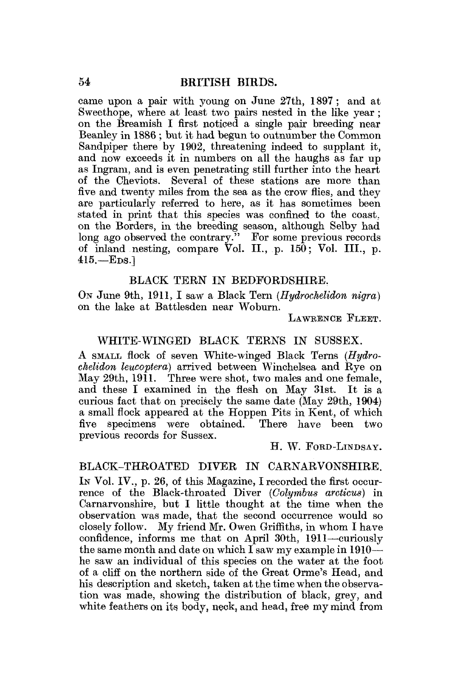came upon a pair with young on June 27th, 1897; and at Sweethope, where at least two pairs nested in the like year; on the Breamish I first noticed a single pair breeding near Beanley in 1886 ; but it had begun to outnumber the Common Sandpiper there by 1902, threatening indeed to supplant it, and now exceeds it in numbers on all the haughs as far up as Ingram, and is even penetrating still further into the heart of the Cheviots. Several of these stations are more than five and twenty miles from the sea as the crow flies, and they are particularly referred to here, as it has sometimes been stated in print that this species was confined to the coast, on the Borders, in the breeding season, although Selby had long ago observed the contrary." For some previous records of inland nesting, compare Vol. II., p. 150; Vol. III., p. 415.—EDS.]

## BLACK TERN IN BEDFORDSHIRE.

On June 9th, 1911, I saw a Black Tern *(Hudrochelidon nigra)* on the lake at Battlesden near Woburn.

LAWBENCE FLEET.

# WHITE-WINGED BLACK TERNS IN SUSSEX.

A SMALL flock of seven White-winged Black Terns *(Hydrochelidon leucoptera)* arrived between Winchelsea and Rye on May 29th, 1911. Three were shot, two males and one female, and these I examined in the flesh on May 31st. It is a curious fact that on precisely the same date (May 29th, 1904) a small flock appeared at the Hoppen Pits in Kent, of which five specimens were obtained. There have been two previous records for Sussex.

H. W. FORD-LINDSAY.

## BLACK-THROATED DIVER IN CARNARVONSHIRE.

In Vol. IV., p. 26, of this Magazine, I recorded the first occurrence of the Black-throated Diver *(Golymbus arcticus)* in Carnarvonshire, but I little thought at the time when the observation was made, that the second occurrence would so closely follow. My friend Mr. Owen Griffiths, in whom I have confidence, informs me that on April 30th, 1911—curiously the same month and date on which I saw my example in 1910 he saw an individual of this species on the water at the foot of a cliff on the northern side of the Great Orme's Head, and his description and sketch, taken at the time when the observation was made, showing the distribution of black, grey, and white feathers on its body, neck, and head, free my mind from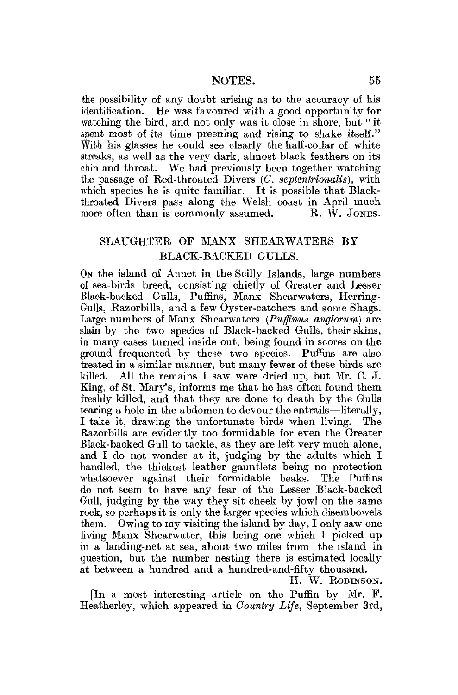the possibility of any doubt arising as to the accuracy of his identification. He was favoured with a good opportunity for watching the bird, and not only was it close in shore, but "it spent most of its time preening and rising to shake itself." With his glasses he could see clearly the half-collar of white streaks, as well as the very dark, almost black feathers on its ehin and throat. We had previously been together watching the passage of Red-throated Divers *(C. septentrionalis),* with which species he is quite familiar. It is possible that Blackthroated Divers pass along the Welsh coast in April much more often than is commonly assumed. R. W. JONES.

# SLAUGHTER OP MANX SHEARWATERS BY BLACK-BACKED GULLS.

ON the island of Annet in the Scilly Islands, large numbers of sea-birds breed, consisting chiefly of Greater and Lesser Black-backed Gulls, Puffins, Manx Shearwaters, Herring-Gulls, Razorbills, and a few Oyster-catchers and some Shags. Large numbers of Manx Shearwaters *(Puffinus anglorum)* are slain by the two species of Black-backed Gulls, their skins, in many cases turned inside out, being found in scores on the ground frequented by these two species. Puffins are also treated in a similar manner, but many fewer of these birds are killed. All the remains I saw were dried up, but Mr. C. J. King, of St. Mary's, informs me that he has often found them freshly killed, and that they are done to death by the Gulls tearing a hole in the abdomen to devour the entrails—literally, I take it, drawing the unfortunate birds when living. The Razorbills are evidently too formidable for even the Greater Black-backed Gull to tackle, as they are left very much alone, and I do not wonder at it, judging by the adults which I handled, the thickest leather gauntlets being no protection whatsoever against their formidable beaks. The Puffins do not seem to have any fear of the Lesser Black-backed Gull, judging by the way they sit cheek by jowl on the same rock, so perhaps it is only the larger species which disembowels them. Owing to my visiting the island by day, I only saw one living Manx Shearwater, this being one which I picked up in a landing-net at sea, about two miles from the island in question, but the number nesting there is estimated locally at between a hundred and a hundred-and-fifty thousand.

H. W. ROBINSON.

[In a most interesting article on the Puffin by Mr. P. Heatherley, which appeared in *Country Life,* September 3rd,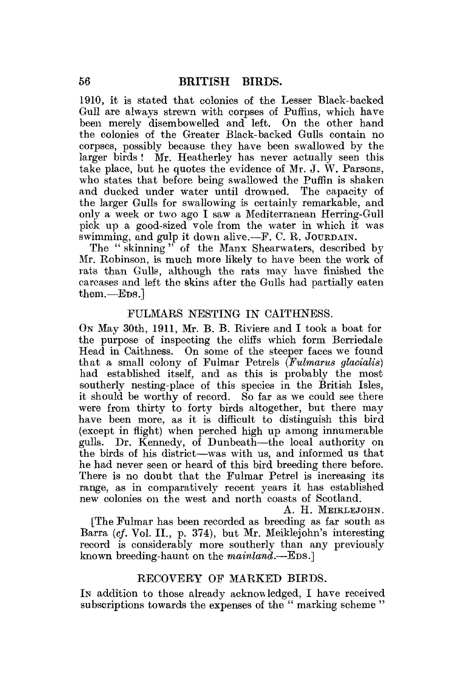1910, it is stated that colonies of the Lesser Black-backed Gull are always strewn with corpses of Puffins, which have been merely disembowelled and left. On the other hand the colonies of the Greater Black-backed Gulls contain no corpses, possibly because they have been swallowed by the larger birds ! Mr. Heatherley has never actually seen this take place, but he quotes the evidence of Mr. J. W. Parsons, who states that before being swallowed the Puffin is shaken and ducked under water until drowned. The capacity of the larger Gulls for swallowing is certainly remarkable, and only a week or two ago I saw a Mediterranean Herring-Gull pick up a good-sized vole from the water in which it was swimming, and gulp it down alive.— $F$ , C. R. JOURDAIN.

The " skinning " of the Manx Shearwaters, described *by*  Mr. Robinson, is much more likely to have been the work of rats than Gulls, although the rats may have finished the carcases and left the skins after the Gulls had partially eaten them.—Eps.1

## FULMARS NESTING IN CAITHNESS.

ON May 30th, 1911, Mr. B. B. Riviere and I took a boat for the purpose of inspecting the cliffs which form Berriedale Head in Caithness. On some of the steeper faces we found that a small colony of Fulmar Petrels *(Fulmarus gtacialis)*  had established itself, and as this is probably the most southerly nesting-place of this species in the British Isles. it should be worthy of record. So far as we could see there were from thirty to forty birds altogether, but there may have been more, as it is difficult to distinguish this bird (except in flight) when perched high up among innumerable gulls. Dr. Kennedy, of Dunbeath—the local authority on the birds of his district—was with us, and informed us that he had never seen or heard of this bird breeding there before. There is no doubt that the Fulmar Petrel is increasing its range, as in comparatively recent years it has established new colonies on the west and north coasts of Scotland.

A. H. MEIKLEJOHN. [The Fulmar has been recorded as breeding as far south as Barra (cf. Vol. II., p. 374), but Mr. Meiklejohn's interesting record is considerably more southerly than any previously known breeding-haunt on the *mainland.*—EDS.]

#### RECOVERY OF MARKED BIBDS.

IN addition to those already acknowledged, I have received subscriptions towards the expenses of the " marking scheme "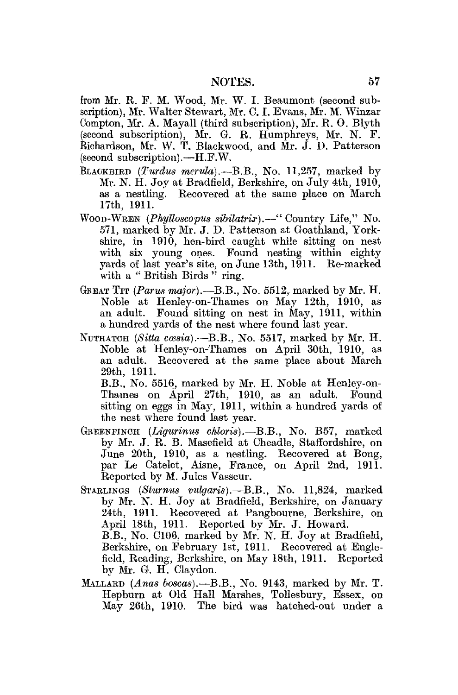from Mr. R, F. M. Wood, Mr. W. I. Beaumont (second subscription), Mr. Walter Stewart, Mr. 0.1 . Evans, Mr. M. Winzar Compton, Mr. A. Mayall (third subscription), Mr. R. O. Blyth (second subscription), Mr. 6. R. Humphreys, Mr. N. F. Richardson, Mr. W. T. Blackwood, and Mr. J. D. Patterson (second subscription).—H.F.W.

- BLACKBIRD *(Turdus merula).*—B.B., No. 11,257, marked by Mr. N. H. Joy at Bradfield, Berkshire, on July 4th, 1910, as a nestling. Recovered at the same place on March 17th, 1911.
- WOOD-WEEN *(Pkylloscopus sibilatrisr).*—" Country Life," No. 571, marked by Mr. J. D. Patterson at Goathland, Yorkshire, in 1910, hen-bird caught while sitting on nest with six young ones. Found nesting within eighty yards of last year's site, on June 13th, 1911. Re-marked with a "British Birds" ring.
- GREAT TIT *{Partis major).*—B.B., No. 5512, marked by Mr. H. Noble at Henley-on-Thames on May 12th, 1910, as an adult. Found sitting on nest in May, 1911, within a hundred yards of the nest where found last year.
- NUTHATCH *(Sitta coesia).*—B.B., No. 5517, marked by Mr. H. Noble at Henley-on-Thames on April 30th, 1910, as an adult. Recovered at the same place about March 29th, 1911.

B.B., No. 5516, marked by Mr. H. Noble at Henley-on-Thames on April 27th, 1910, as an adult. Found sitting on eggs in May, 1911, within a hundred yards of the nest where found last year.

- GREENFINCH (*Ligurinus chloris*).—B.B., No. B57, marked by Mr. J. R. B. Masefield at Cheadle, Staffordshire, on June 20th, 1910, as a nestling. Recovered at Bong, par Le Catelet, Aisne, France, on April 2nd, 1911. Reported by M. Jules Vasseur.
- STARLINGS *(Slumus vulgaris).—*B.B., No. 11,824, marked by Mr. N. H. Joy at Bradfield, Berkshire, on January 24th, 1911. Recovered at Pangbourne, Berkshire, on April 18th, 1911. Reported bv Mr. J. Howard. B.B., No. C106, marked by Mr. N. H. Joy at Bradfield, Berkshire, on February 1st, 1911. Recovered at Englefield, Reading, Berkshire, on May 18th, 1911. Reported by Mr. G. H. Claydon.
- MALLARD *(Anas boscas).—B.B.,* No. 9143, marked by Mr. T. Hepburn at Old Hall Marshes, Tollesbury, Essex, on May 26th, 1910. The bird was hatched-out under a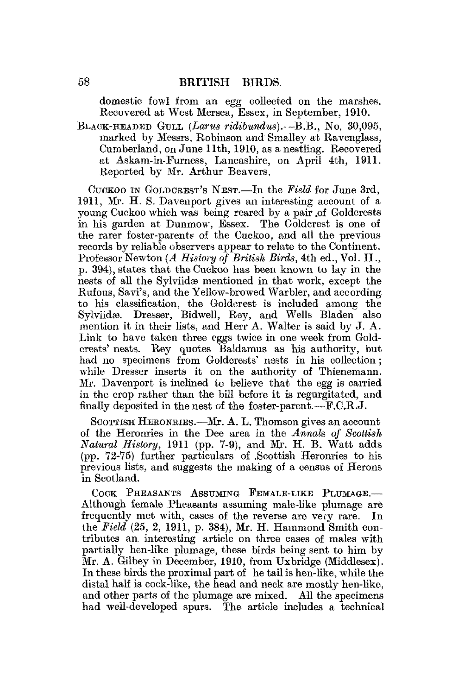domestic fowl from an egg collected on the marshes. Recovered at West Mersea, Essex, in September, 1910.

BLACK-HEADED GULL *(Larus ridibundus).-* -B.B., No. 30,095, marked by Messrs. Robinson and Smaliey at Ravenglass, Cumberland, on June 11th, 1910, as a nestling. Recovered at Askam-in-Furness, Lancashire, on April 4th, 1911. Reported by Mr. Arthur Beavers.

CUOKOO IN GOLDCKEST'S NEST.—In the *Field* for June 3rd, 1911, Mr. H. S. Davenport gives an interesting account of a young Cuckoo which was being reared by a pair .of Goldcrests in his garden at Dunmow, Essex. The Goldcrest is one of the rarer foster-parents of the Cuckoo, and all the previous records by reliable observers appear to relate to the Continent. Professor Newton *(A History of British Birds,* 4th ed., Vol. II., p. 394), states that the Cuckoo has been known to lay in the nests of all the Sylviidæ mentioned in that work, except the Rufous, Savi's, and the Yellow-browed Warbler, and according to his classification, the Goldcrest is included among the Sylviidæ. Dresser, Bidwell, Rey, and Wells Bladen also mention it in their lists, and Herr A. Walter is said by J. A. Link to have taken three eggs twice in one week from Goldcrests' nests. Rey quotes Baldamus as his authority, but had no specimens from Goldcrests' nests in his collection; while Dresser inserts it on the authority of Thienemann. Mr. Davenport is inclined to believe that the egg is carried in the crop rather than the bill before it is regurgitated, and finally deposited in the nest of the foster-parent.— $F.C.R.J.$ 

SCOTTISH HERONKIES.—Mr. A. L. Thomson gives an account of the Heronries in the Dee area in the *Annals of Scottish Natural History,* 1911 (pp. 7-9), and Mr. H. B. Watt adds (pp. 72-75) further particulars of .Scottish Heronries to his previous lists, and suggests the making of a census of Herons in Scotland.

COCK PHEASANTS ASSUMING FEMALE-LIKE PLUMAGE.-Although female Pheasants assuming male-like plumage are frequently met with, cases of the reverse are vecy rare. In the *Field* (25, 2, 1911, p. 384), Mr. H. Hammond Smith contributes an interesting article on three cases of males with partially hen-like plumage, these birds being sent to him by Mr. A. Gilbey in December, 1910, from Uxbridge (Middlesex). In these birds the proximal part of he tail is hen-like, while the distal half is cock-like, the head and neck are mostly hen-like, and other parts of the plumage are mixed. All the specimens had well-developed spurs. The article includes a technical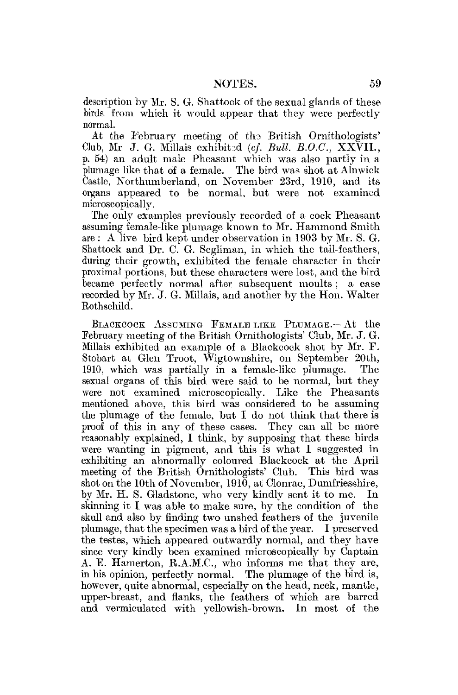description by Mr. S. G. Shattock of the sexual glands of these birds, from which it would appear that they were perfectly normal.

At the February meeting of the British Ornithologists' Club, Mr J. G. Millais exhibitad *(cf. Bull B.O.C.,* XXVII., p. 54) an adult male Pheasant which was also partly in a plumage like that of a female. The bird was shot at Alnwick Castle, Northumberland, on November 23rd, 1910, and its organs appeared to be normal, but were not examined microscopically.

The only examples previously recorded of a cock Pheasant assuming female-like plumage known to Mr. Hammond Smith are : A live bird kept under observation in 1903 by Mr. S. G. Shattock and Dr. C. G. Segliman, in which the tail-feathers, during their growth, exhibited the female character in their proximal portions, but these characters were lost, and the bird became perfectly normal after subsequent moults ; a case recorded by Mr. J. G. Millais, and another by the Hon. Walter Eothschild.

BLACKCOCK ASSUMING FEMALE-LIKE PLUMAGE.—At the February meeting of the British Ornithologists' Club, Mr. J. G. Millais exhibited an example of a Blackcock shot by Mr. F. Stobart at Glen Troot, Wigtownshire, on September 20th, 1910, which was partially in a female-like plumage. The sexual organs of this bird were said to be normal, but they were not examined microscopically. Like the Pheasants mentioned above, this bird was considered to be assuming the plumage of the female, but I do not think that there is proof of this in any of these cases. They can all be more reasonably explained, I think, by supposing that these birds were wanting in pigment, and this is what I suggested in exhibiting an abnormally coloured Blackcock at the April meeting of the British Ornithologists' Club. This bird was shot on the 10th of November, 1910, at Clonrae, Dumfriesshire, by Mr. H. S. Gladstone, who very kindly sent it to me. In skinning it I was able to make sure, by the condition of the skull and also by finding two unshed feathers of the juvenile plumage, that the specimen was a bird of the year. I preserved the testes, which appeared outwardly normal, and they have since very kindly been examined microscopically by Captain A. E. Hamerton, R.A.M.C., who informs me that they are, in his opinion, perfectly normal. The plumage of the bird is, however, quite abnormal, especially on the head, neck, mantle, upper-breast, and flanks, the feathers of which are barred and vermiculated with yellowish-brown. In most of the